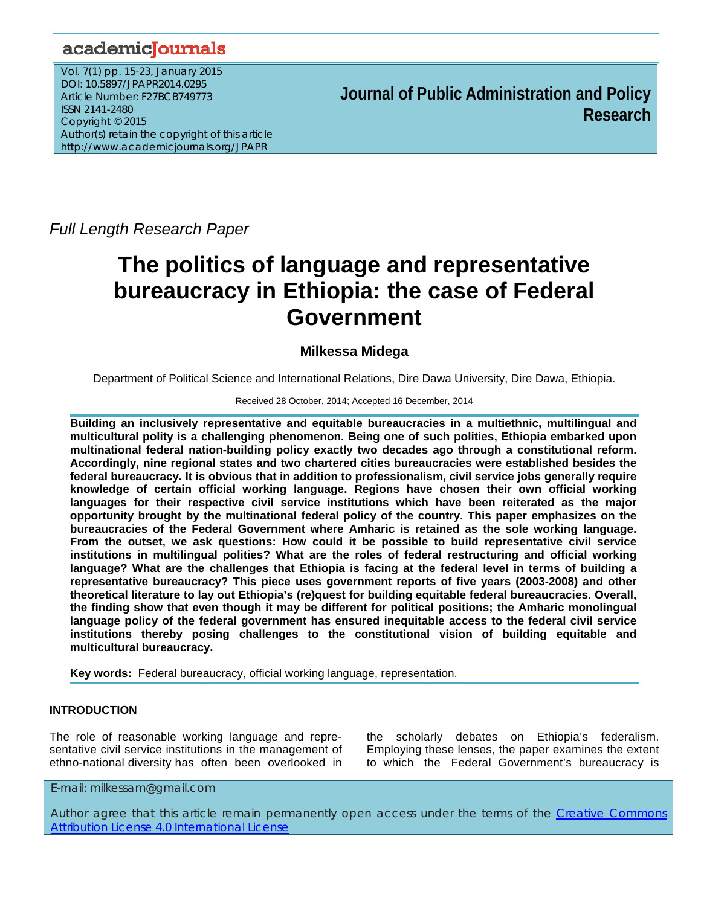## academicJournals

Vol. 7(1) pp. 15-23, January 2015 DOI: 10.5897/JPAPR2014.0295 Article Number: F27BCB749773 ISSN 2141-2480 Copyright © 2015 Author(s) retain the copyright of this article http://www.academicjournals.org/JPAPR

**Journal of Public Administration and Policy Research**

*Full Length Research Paper* 

# **The politics of language and representative bureaucracy in Ethiopia: the case of Federal Government**

### **Milkessa Midega**

Department of Political Science and International Relations, Dire Dawa University, Dire Dawa, Ethiopia.

#### Received 28 October, 2014; Accepted 16 December, 2014

**Building an inclusively representative and equitable bureaucracies in a multiethnic, multilingual and multicultural polity is a challenging phenomenon. Being one of such polities, Ethiopia embarked upon multinational federal nation-building policy exactly two decades ago through a constitutional reform. Accordingly, nine regional states and two chartered cities bureaucracies were established besides the federal bureaucracy. It is obvious that in addition to professionalism, civil service jobs generally require knowledge of certain official working language. Regions have chosen their own official working languages for their respective civil service institutions which have been reiterated as the major opportunity brought by the multinational federal policy of the country. This paper emphasizes on the bureaucracies of the Federal Government where Amharic is retained as the sole working language. From the outset, we ask questions: How could it be possible to build representative civil service institutions in multilingual polities? What are the roles of federal restructuring and official working language? What are the challenges that Ethiopia is facing at the federal level in terms of building a representative bureaucracy? This piece uses government reports of five years (2003-2008) and other theoretical literature to lay out Ethiopia's (re)quest for building equitable federal bureaucracies. Overall, the finding show that even though it may be different for political positions; the Amharic monolingual language policy of the federal government has ensured inequitable access to the federal civil service institutions thereby posing challenges to the constitutional vision of building equitable and multicultural bureaucracy.** 

**Key words:** Federal bureaucracy, official working language, representation.

#### **INTRODUCTION**

The role of reasonable working language and representative civil service institutions in the management of ethno-national diversity has often been overlooked in

the scholarly debates on Ethiopia's federalism. Employing these lenses, the paper examines the extent to which the Federal Government's bureaucracy is

E-mail: milkessam@gmail.com

Author agree that this article remain permanently open access under the terms of the Creative Commons Attribution License 4.0 International License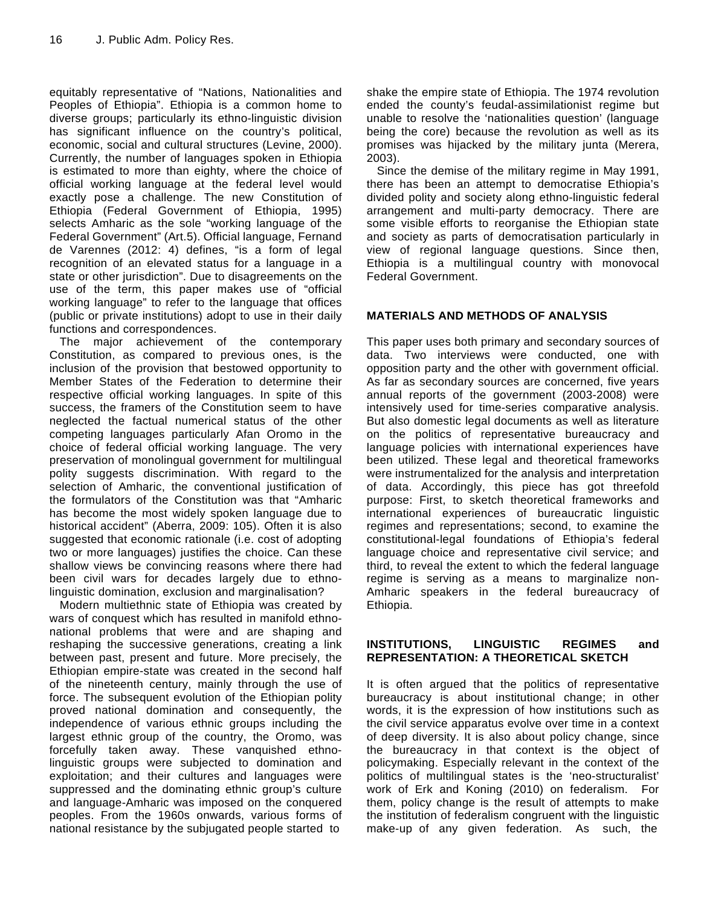equitably representative of "Nations, Nationalities and Peoples of Ethiopia". Ethiopia is a common home to diverse groups; particularly its ethno-linguistic division has significant influence on the country's political, economic, social and cultural structures (Levine, 2000). Currently, the number of languages spoken in Ethiopia is estimated to more than eighty, where the choice of official working language at the federal level would exactly pose a challenge. The new Constitution of Ethiopia (Federal Government of Ethiopia, 1995) selects Amharic as the sole "working language of the Federal Government" (Art.5). Official language, Fernand de Varennes (2012: 4) defines, "is a form of legal recognition of an elevated status for a language in a state or other jurisdiction". Due to disagreements on the use of the term, this paper makes use of "official working language" to refer to the language that offices (public or private institutions) adopt to use in their daily functions and correspondences.

The major achievement of the contemporary Constitution, as compared to previous ones, is the inclusion of the provision that bestowed opportunity to Member States of the Federation to determine their respective official working languages. In spite of this success, the framers of the Constitution seem to have neglected the factual numerical status of the other competing languages particularly Afan Oromo in the choice of federal official working language. The very preservation of monolingual government for multilingual polity suggests discrimination. With regard to the selection of Amharic, the conventional justification of the formulators of the Constitution was that "Amharic has become the most widely spoken language due to historical accident" (Aberra, 2009: 105). Often it is also suggested that economic rationale (i.e. cost of adopting two or more languages) justifies the choice. Can these shallow views be convincing reasons where there had been civil wars for decades largely due to ethnolinguistic domination, exclusion and marginalisation?

Modern multiethnic state of Ethiopia was created by wars of conquest which has resulted in manifold ethnonational problems that were and are shaping and reshaping the successive generations, creating a link between past, present and future. More precisely, the Ethiopian empire-state was created in the second half of the nineteenth century, mainly through the use of force. The subsequent evolution of the Ethiopian polity proved national domination and consequently, the independence of various ethnic groups including the largest ethnic group of the country, the Oromo, was forcefully taken away. These vanquished ethnolinguistic groups were subjected to domination and exploitation; and their cultures and languages were suppressed and the dominating ethnic group's culture and language-Amharic was imposed on the conquered peoples. From the 1960s onwards, various forms of national resistance by the subjugated people started to

shake the empire state of Ethiopia. The 1974 revolution ended the county's feudal-assimilationist regime but unable to resolve the 'nationalities question' (language being the core) because the revolution as well as its promises was hijacked by the military junta (Merera, 2003).

Since the demise of the military regime in May 1991, there has been an attempt to democratise Ethiopia's divided polity and society along ethno-linguistic federal arrangement and multi-party democracy. There are some visible efforts to reorganise the Ethiopian state and society as parts of democratisation particularly in view of regional language questions. Since then, Ethiopia is a multilingual country with monovocal Federal Government.

#### **MATERIALS AND METHODS OF ANALYSIS**

This paper uses both primary and secondary sources of data. Two interviews were conducted, one with opposition party and the other with government official. As far as secondary sources are concerned, five years annual reports of the government (2003-2008) were intensively used for time-series comparative analysis. But also domestic legal documents as well as literature on the politics of representative bureaucracy and language policies with international experiences have been utilized. These legal and theoretical frameworks were instrumentalized for the analysis and interpretation of data. Accordingly, this piece has got threefold purpose: First, to sketch theoretical frameworks and international experiences of bureaucratic linguistic regimes and representations; second, to examine the constitutional-legal foundations of Ethiopia's federal language choice and representative civil service; and third, to reveal the extent to which the federal language regime is serving as a means to marginalize non-Amharic speakers in the federal bureaucracy of Ethiopia.

#### **INSTITUTIONS, LINGUISTIC REGIMES and REPRESENTATION: A THEORETICAL SKETCH**

It is often argued that the politics of representative bureaucracy is about institutional change; in other words, it is the expression of how institutions such as the civil service apparatus evolve over time in a context of deep diversity. It is also about policy change, since the bureaucracy in that context is the object of policymaking. Especially relevant in the context of the politics of multilingual states is the 'neo-structuralist' work of Erk and Koning (2010) on federalism. For them, policy change is the result of attempts to make the institution of federalism congruent with the linguistic make-up of any given federation. As such, the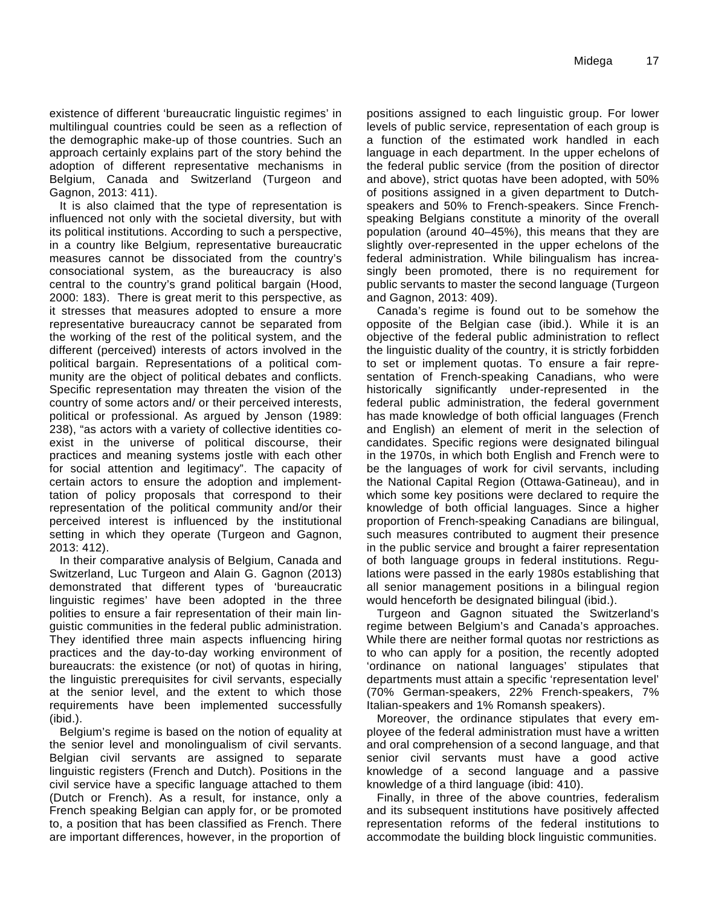existence of different 'bureaucratic linguistic regimes' in multilingual countries could be seen as a reflection of the demographic make-up of those countries. Such an approach certainly explains part of the story behind the adoption of different representative mechanisms in Belgium, Canada and Switzerland (Turgeon and Gagnon, 2013: 411).

It is also claimed that the type of representation is influenced not only with the societal diversity, but with its political institutions. According to such a perspective, in a country like Belgium, representative bureaucratic measures cannot be dissociated from the country's consociational system, as the bureaucracy is also central to the country's grand political bargain (Hood, 2000: 183). There is great merit to this perspective, as it stresses that measures adopted to ensure a more representative bureaucracy cannot be separated from the working of the rest of the political system, and the different (perceived) interests of actors involved in the political bargain. Representations of a political community are the object of political debates and conflicts. Specific representation may threaten the vision of the country of some actors and/ or their perceived interests, political or professional. As argued by Jenson (1989: 238), "as actors with a variety of collective identities coexist in the universe of political discourse, their practices and meaning systems jostle with each other for social attention and legitimacy". The capacity of certain actors to ensure the adoption and implementtation of policy proposals that correspond to their representation of the political community and/or their perceived interest is influenced by the institutional setting in which they operate (Turgeon and Gagnon, 2013: 412).

In their comparative analysis of Belgium, Canada and Switzerland, Luc Turgeon and Alain G. Gagnon (2013) demonstrated that different types of 'bureaucratic linguistic regimes' have been adopted in the three polities to ensure a fair representation of their main linguistic communities in the federal public administration. They identified three main aspects influencing hiring practices and the day-to-day working environment of bureaucrats: the existence (or not) of quotas in hiring, the linguistic prerequisites for civil servants, especially at the senior level, and the extent to which those requirements have been implemented successfully (ibid.).

Belgium's regime is based on the notion of equality at the senior level and monolingualism of civil servants. Belgian civil servants are assigned to separate linguistic registers (French and Dutch). Positions in the civil service have a specific language attached to them (Dutch or French). As a result, for instance, only a French speaking Belgian can apply for, or be promoted to, a position that has been classified as French. There are important differences, however, in the proportion of

positions assigned to each linguistic group. For lower levels of public service, representation of each group is a function of the estimated work handled in each language in each department. In the upper echelons of the federal public service (from the position of director and above), strict quotas have been adopted, with 50% of positions assigned in a given department to Dutchspeakers and 50% to French-speakers. Since Frenchspeaking Belgians constitute a minority of the overall population (around 40–45%), this means that they are slightly over-represented in the upper echelons of the federal administration. While bilingualism has increasingly been promoted, there is no requirement for public servants to master the second language (Turgeon and Gagnon, 2013: 409).

Canada's regime is found out to be somehow the opposite of the Belgian case (ibid.). While it is an objective of the federal public administration to reflect the linguistic duality of the country, it is strictly forbidden to set or implement quotas. To ensure a fair representation of French-speaking Canadians, who were historically significantly under-represented in the federal public administration, the federal government has made knowledge of both official languages (French and English) an element of merit in the selection of candidates. Specific regions were designated bilingual in the 1970s, in which both English and French were to be the languages of work for civil servants, including the National Capital Region (Ottawa-Gatineau), and in which some key positions were declared to require the knowledge of both official languages. Since a higher proportion of French-speaking Canadians are bilingual, such measures contributed to augment their presence in the public service and brought a fairer representation of both language groups in federal institutions. Regulations were passed in the early 1980s establishing that all senior management positions in a bilingual region would henceforth be designated bilingual (ibid.).

Turgeon and Gagnon situated the Switzerland's regime between Belgium's and Canada's approaches. While there are neither formal quotas nor restrictions as to who can apply for a position, the recently adopted 'ordinance on national languages' stipulates that departments must attain a specific 'representation level' (70% German-speakers, 22% French-speakers, 7% Italian-speakers and 1% Romansh speakers).

Moreover, the ordinance stipulates that every employee of the federal administration must have a written and oral comprehension of a second language, and that senior civil servants must have a good active knowledge of a second language and a passive knowledge of a third language (ibid: 410).

Finally, in three of the above countries, federalism and its subsequent institutions have positively affected representation reforms of the federal institutions to accommodate the building block linguistic communities.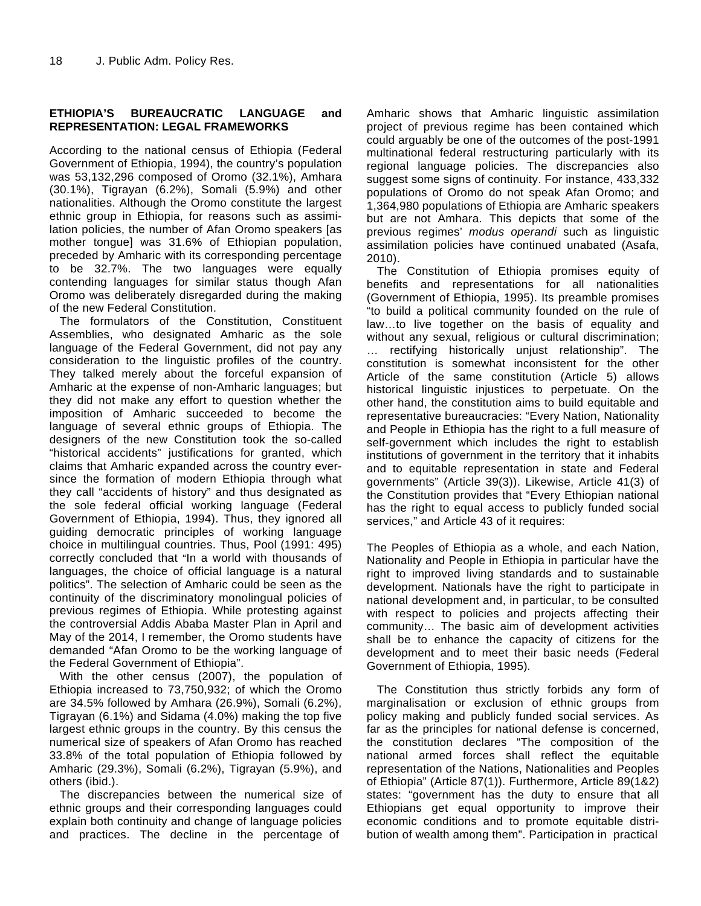#### **ETHIOPIA'S BUREAUCRATIC LANGUAGE and REPRESENTATION: LEGAL FRAMEWORKS**

According to the national census of Ethiopia (Federal Government of Ethiopia, 1994), the country's population was 53,132,296 composed of Oromo (32.1%), Amhara (30.1%), Tigrayan (6.2%), Somali (5.9%) and other nationalities. Although the Oromo constitute the largest ethnic group in Ethiopia, for reasons such as assimilation policies, the number of Afan Oromo speakers [as mother tongue] was 31.6% of Ethiopian population, preceded by Amharic with its corresponding percentage to be 32.7%. The two languages were equally contending languages for similar status though Afan Oromo was deliberately disregarded during the making of the new Federal Constitution.

The formulators of the Constitution, Constituent Assemblies, who designated Amharic as the sole language of the Federal Government, did not pay any consideration to the linguistic profiles of the country. They talked merely about the forceful expansion of Amharic at the expense of non-Amharic languages; but they did not make any effort to question whether the imposition of Amharic succeeded to become the language of several ethnic groups of Ethiopia. The designers of the new Constitution took the so-called "historical accidents" justifications for granted, which claims that Amharic expanded across the country eversince the formation of modern Ethiopia through what they call "accidents of history" and thus designated as the sole federal official working language (Federal Government of Ethiopia, 1994). Thus, they ignored all guiding democratic principles of working language choice in multilingual countries. Thus, Pool (1991: 495) correctly concluded that "In a world with thousands of languages, the choice of official language is a natural politics". The selection of Amharic could be seen as the continuity of the discriminatory monolingual policies of previous regimes of Ethiopia. While protesting against the controversial Addis Ababa Master Plan in April and May of the 2014, I remember, the Oromo students have demanded "Afan Oromo to be the working language of the Federal Government of Ethiopia".

With the other census (2007), the population of Ethiopia increased to 73,750,932; of which the Oromo are 34.5% followed by Amhara (26.9%), Somali (6.2%), Tigrayan (6.1%) and Sidama (4.0%) making the top five largest ethnic groups in the country. By this census the numerical size of speakers of Afan Oromo has reached 33.8% of the total population of Ethiopia followed by Amharic (29.3%), Somali (6.2%), Tigrayan (5.9%), and others (ibid.).

The discrepancies between the numerical size of ethnic groups and their corresponding languages could explain both continuity and change of language policies and practices. The decline in the percentage of

Amharic shows that Amharic linguistic assimilation project of previous regime has been contained which could arguably be one of the outcomes of the post-1991 multinational federal restructuring particularly with its regional language policies. The discrepancies also suggest some signs of continuity. For instance, 433,332 populations of Oromo do not speak Afan Oromo; and 1,364,980 populations of Ethiopia are Amharic speakers but are not Amhara. This depicts that some of the previous regimes' *modus operandi* such as linguistic assimilation policies have continued unabated (Asafa, 2010).

The Constitution of Ethiopia promises equity of benefits and representations for all nationalities (Government of Ethiopia, 1995). Its preamble promises "to build a political community founded on the rule of law…to live together on the basis of equality and without any sexual, religious or cultural discrimination; … rectifying historically unjust relationship". The constitution is somewhat inconsistent for the other Article of the same constitution (Article 5) allows historical linguistic injustices to perpetuate. On the other hand, the constitution aims to build equitable and representative bureaucracies: "Every Nation, Nationality and People in Ethiopia has the right to a full measure of self-government which includes the right to establish institutions of government in the territory that it inhabits and to equitable representation in state and Federal governments" (Article 39(3)). Likewise, Article 41(3) of the Constitution provides that "Every Ethiopian national has the right to equal access to publicly funded social services," and Article 43 of it requires:

The Peoples of Ethiopia as a whole, and each Nation, Nationality and People in Ethiopia in particular have the right to improved living standards and to sustainable development. Nationals have the right to participate in national development and, in particular, to be consulted with respect to policies and projects affecting their community… The basic aim of development activities shall be to enhance the capacity of citizens for the development and to meet their basic needs (Federal Government of Ethiopia, 1995)*.* 

The Constitution thus strictly forbids any form of marginalisation or exclusion of ethnic groups from policy making and publicly funded social services. As far as the principles for national defense is concerned, the constitution declares "The composition of the national armed forces shall reflect the equitable representation of the Nations, Nationalities and Peoples of Ethiopia" (Article 87(1)). Furthermore, Article 89(1&2) states: "government has the duty to ensure that all Ethiopians get equal opportunity to improve their economic conditions and to promote equitable distribution of wealth among them". Participation in practical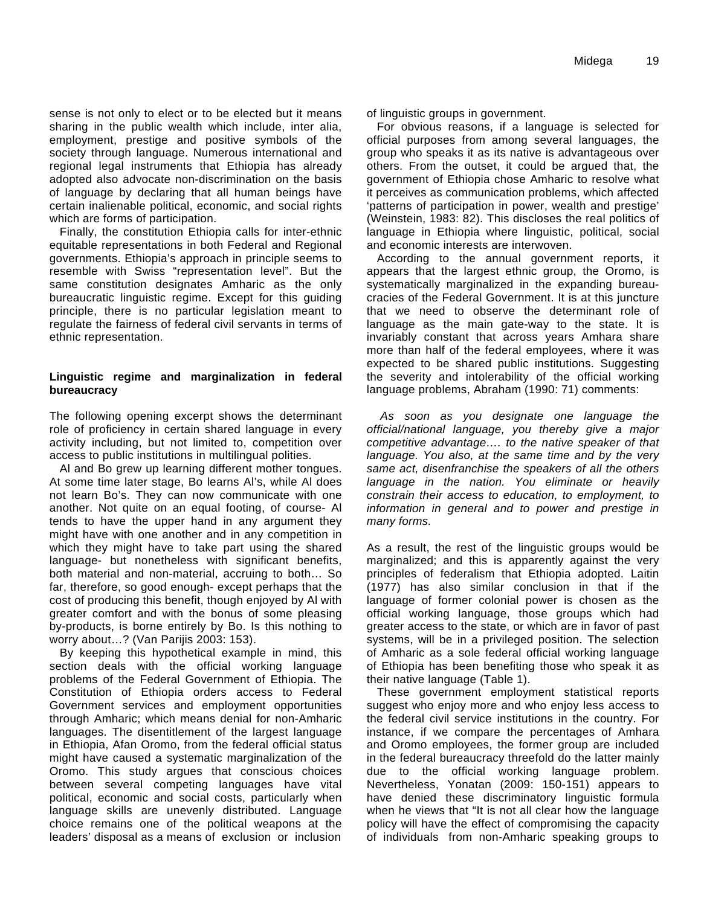sense is not only to elect or to be elected but it means sharing in the public wealth which include, inter alia, employment, prestige and positive symbols of the society through language. Numerous international and regional legal instruments that Ethiopia has already adopted also advocate non-discrimination on the basis of language by declaring that all human beings have certain inalienable political, economic, and social rights which are forms of participation.

Finally, the constitution Ethiopia calls for inter-ethnic equitable representations in both Federal and Regional governments. Ethiopia's approach in principle seems to resemble with Swiss "representation level". But the same constitution designates Amharic as the only bureaucratic linguistic regime. Except for this guiding principle, there is no particular legislation meant to regulate the fairness of federal civil servants in terms of ethnic representation.

#### **Linguistic regime and marginalization in federal bureaucracy**

The following opening excerpt shows the determinant role of proficiency in certain shared language in every activity including, but not limited to, competition over access to public institutions in multilingual polities.

Al and Bo grew up learning different mother tongues. At some time later stage, Bo learns Al's, while Al does not learn Bo's. They can now communicate with one another. Not quite on an equal footing, of course- Al tends to have the upper hand in any argument they might have with one another and in any competition in which they might have to take part using the shared language- but nonetheless with significant benefits, both material and non-material, accruing to both… So far, therefore, so good enough- except perhaps that the cost of producing this benefit, though enjoyed by Al with greater comfort and with the bonus of some pleasing by-products, is borne entirely by Bo. Is this nothing to worry about…? (Van Parijis 2003: 153).

By keeping this hypothetical example in mind, this section deals with the official working language problems of the Federal Government of Ethiopia. The Constitution of Ethiopia orders access to Federal Government services and employment opportunities through Amharic; which means denial for non-Amharic languages. The disentitlement of the largest language in Ethiopia, Afan Oromo, from the federal official status might have caused a systematic marginalization of the Oromo. This study argues that conscious choices between several competing languages have vital political, economic and social costs, particularly when language skills are unevenly distributed. Language choice remains one of the political weapons at the leaders' disposal as a means of exclusion or inclusion

of linguistic groups in government.

For obvious reasons, if a language is selected for official purposes from among several languages, the group who speaks it as its native is advantageous over others. From the outset, it could be argued that, the government of Ethiopia chose Amharic to resolve what it perceives as communication problems, which affected 'patterns of participation in power, wealth and prestige' (Weinstein, 1983: 82). This discloses the real politics of language in Ethiopia where linguistic, political, social and economic interests are interwoven.

According to the annual government reports, it appears that the largest ethnic group, the Oromo, is systematically marginalized in the expanding bureaucracies of the Federal Government. It is at this juncture that we need to observe the determinant role of language as the main gate-way to the state. It is invariably constant that across years Amhara share more than half of the federal employees, where it was expected to be shared public institutions. Suggesting the severity and intolerability of the official working language problems, Abraham (1990: 71) comments:

*As soon as you designate one language the official/national language, you thereby give a major competitive advantage…. to the native speaker of that language. You also, at the same time and by the very same act, disenfranchise the speakers of all the others language in the nation. You eliminate or heavily constrain their access to education, to employment, to information in general and to power and prestige in many forms.* 

As a result, the rest of the linguistic groups would be marginalized; and this is apparently against the very principles of federalism that Ethiopia adopted. Laitin (1977) has also similar conclusion in that if the language of former colonial power is chosen as the official working language, those groups which had greater access to the state, or which are in favor of past systems, will be in a privileged position. The selection of Amharic as a sole federal official working language of Ethiopia has been benefiting those who speak it as their native language (Table 1).

These government employment statistical reports suggest who enjoy more and who enjoy less access to the federal civil service institutions in the country. For instance, if we compare the percentages of Amhara and Oromo employees, the former group are included in the federal bureaucracy threefold do the latter mainly due to the official working language problem. Nevertheless, Yonatan (2009: 150-151) appears to have denied these discriminatory linguistic formula when he views that "It is not all clear how the language policy will have the effect of compromising the capacity of individuals from non-Amharic speaking groups to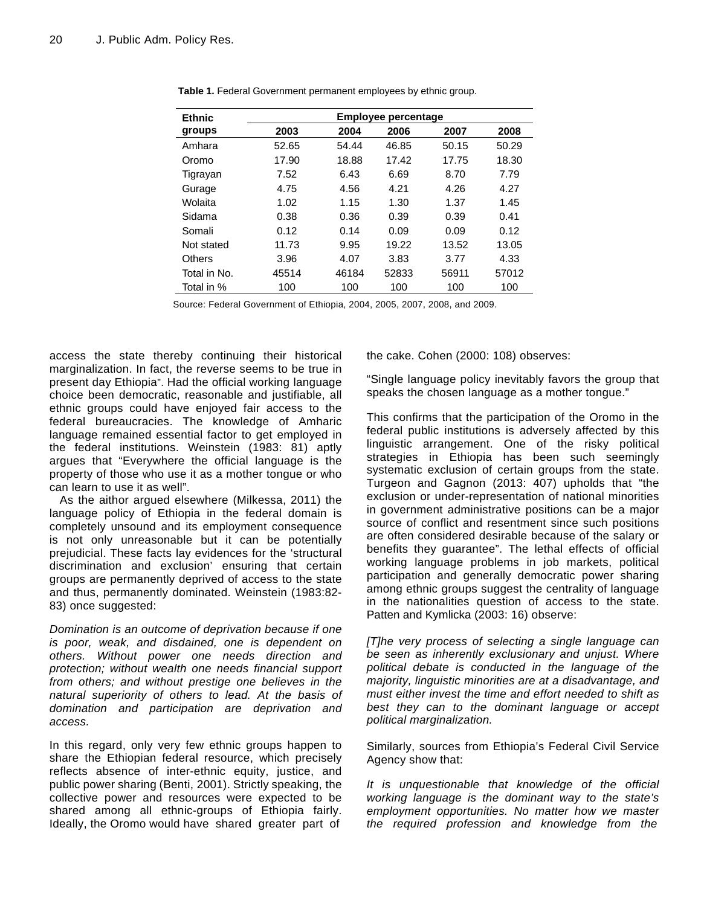| <b>Ethnic</b> | <b>Employee percentage</b> |       |       |       |       |
|---------------|----------------------------|-------|-------|-------|-------|
| groups        | 2003                       | 2004  | 2006  | 2007  | 2008  |
| Amhara        | 52.65                      | 54.44 | 46.85 | 50.15 | 50.29 |
| Oromo         | 17.90                      | 18.88 | 17.42 | 17.75 | 18.30 |
| Tigrayan      | 7.52                       | 6.43  | 6.69  | 8.70  | 7.79  |
| Gurage        | 4.75                       | 4.56  | 4.21  | 4.26  | 4.27  |
| Wolaita       | 1.02                       | 1.15  | 1.30  | 1.37  | 1.45  |
| Sidama        | 0.38                       | 0.36  | 0.39  | 0.39  | 0.41  |
| Somali        | 0.12                       | 0.14  | 0.09  | 0.09  | 0.12  |
| Not stated    | 11.73                      | 9.95  | 19.22 | 13.52 | 13.05 |
| Others        | 3.96                       | 4.07  | 3.83  | 3.77  | 4.33  |
| Total in No.  | 45514                      | 46184 | 52833 | 56911 | 57012 |
| Total in %    | 100                        | 100   | 100   | 100   | 100   |

**Table 1.** Federal Government permanent employees by ethnic group.

Source: Federal Government of Ethiopia, 2004, 2005, 2007, 2008, and 2009.

access the state thereby continuing their historical marginalization. In fact, the reverse seems to be true in present day Ethiopia". Had the official working language choice been democratic, reasonable and justifiable, all ethnic groups could have enjoyed fair access to the federal bureaucracies. The knowledge of Amharic language remained essential factor to get employed in the federal institutions. Weinstein (1983: 81) aptly argues that "Everywhere the official language is the property of those who use it as a mother tongue or who can learn to use it as well".

As the aithor argued elsewhere (Milkessa, 2011) the language policy of Ethiopia in the federal domain is completely unsound and its employment consequence is not only unreasonable but it can be potentially prejudicial. These facts lay evidences for the 'structural discrimination and exclusion' ensuring that certain groups are permanently deprived of access to the state and thus, permanently dominated. Weinstein (1983:82- 83) once suggested:

*Domination is an outcome of deprivation because if one is poor, weak, and disdained, one is dependent on others. Without power one needs direction and protection; without wealth one needs financial support from others; and without prestige one believes in the natural superiority of others to lead. At the basis of domination and participation are deprivation and access.* 

In this regard, only very few ethnic groups happen to share the Ethiopian federal resource, which precisely reflects absence of inter-ethnic equity, justice, and public power sharing (Benti, 2001). Strictly speaking, the collective power and resources were expected to be shared among all ethnic-groups of Ethiopia fairly. Ideally, the Oromo would have shared greater part of

the cake. Cohen (2000: 108) observes:

"Single language policy inevitably favors the group that speaks the chosen language as a mother tongue."

This confirms that the participation of the Oromo in the federal public institutions is adversely affected by this linguistic arrangement. One of the risky political strategies in Ethiopia has been such seemingly systematic exclusion of certain groups from the state. Turgeon and Gagnon (2013: 407) upholds that "the exclusion or under-representation of national minorities in government administrative positions can be a major source of conflict and resentment since such positions are often considered desirable because of the salary or benefits they guarantee". The lethal effects of official working language problems in job markets, political participation and generally democratic power sharing among ethnic groups suggest the centrality of language in the nationalities question of access to the state. Patten and Kymlicka (2003: 16) observe:

*[T]he very process of selecting a single language can be seen as inherently exclusionary and unjust. Where political debate is conducted in the language of the majority, linguistic minorities are at a disadvantage, and must either invest the time and effort needed to shift as best they can to the dominant language or accept political marginalization.* 

Similarly, sources from Ethiopia's Federal Civil Service Agency show that:

*It is unquestionable that knowledge of the official working language is the dominant way to the state's employment opportunities. No matter how we master the required profession and knowledge from the*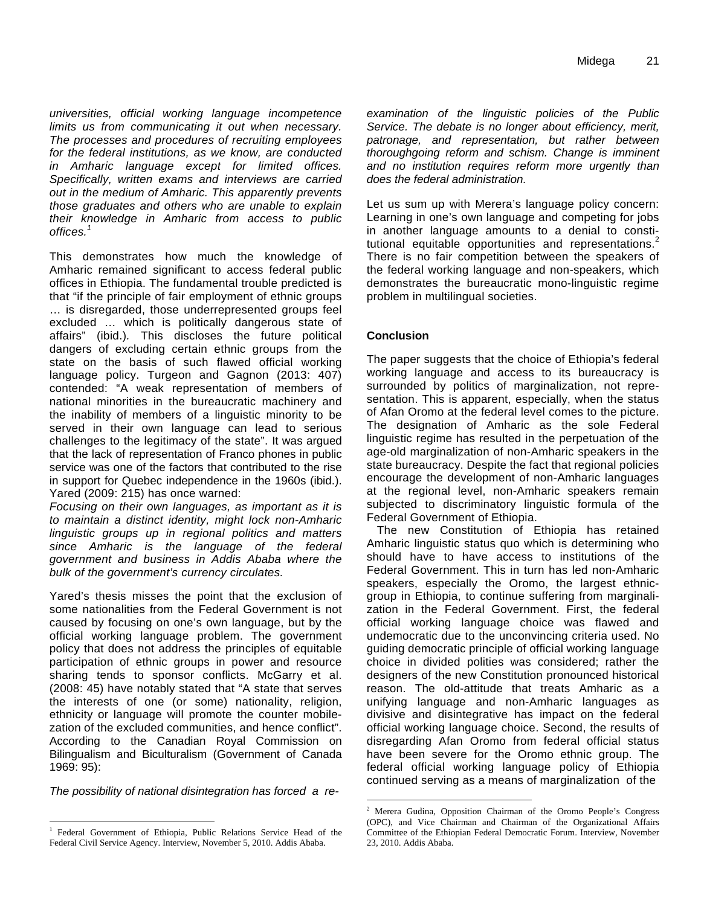*universities, official working language incompetence limits us from communicating it out when necessary. The processes and procedures of recruiting employees for the federal institutions, as we know, are conducted in Amharic language except for limited offices. Specifically, written exams and interviews are carried out in the medium of Amharic. This apparently prevents those graduates and others who are unable to explain their knowledge in Amharic from access to public offices.<sup>1</sup>*

This demonstrates how much the knowledge of Amharic remained significant to access federal public offices in Ethiopia. The fundamental trouble predicted is that "if the principle of fair employment of ethnic groups … is disregarded, those underrepresented groups feel excluded … which is politically dangerous state of affairs" (ibid.)*.* This discloses the future political dangers of excluding certain ethnic groups from the state on the basis of such flawed official working language policy. Turgeon and Gagnon (2013: 407) contended: "A weak representation of members of national minorities in the bureaucratic machinery and the inability of members of a linguistic minority to be served in their own language can lead to serious challenges to the legitimacy of the state". It was argued that the lack of representation of Franco phones in public service was one of the factors that contributed to the rise in support for Quebec independence in the 1960s (ibid.). Yared (2009: 215) has once warned:

*Focusing on their own languages, as important as it is to maintain a distinct identity, might lock non-Amharic linguistic groups up in regional politics and matters since Amharic is the language of the federal government and business in Addis Ababa where the bulk of the government's currency circulates.* 

Yared's thesis misses the point that the exclusion of some nationalities from the Federal Government is not caused by focusing on one's own language, but by the official working language problem. The government policy that does not address the principles of equitable participation of ethnic groups in power and resource sharing tends to sponsor conflicts. McGarry et al. (2008: 45) have notably stated that "A state that serves the interests of one (or some) nationality, religion, ethnicity or language will promote the counter mobilezation of the excluded communities, and hence conflict". According to the Canadian Royal Commission on Bilingualism and Biculturalism (Government of Canada 1969: 95):

*The possibility of national disintegration has forced a re-* 

 $\overline{a}$ 

*examination of the linguistic policies of the Public Service. The debate is no longer about efficiency, merit, patronage, and representation, but rather between thoroughgoing reform and schism. Change is imminent and no institution requires reform more urgently than does the federal administration.* 

Let us sum up with Merera's language policy concern: Learning in one's own language and competing for jobs in another language amounts to a denial to constitutional equitable opportunities and representations. $2$ There is no fair competition between the speakers of the federal working language and non-speakers, which demonstrates the bureaucratic mono-linguistic regime problem in multilingual societies.

#### **Conclusion**

 $\overline{a}$ 

The paper suggests that the choice of Ethiopia's federal working language and access to its bureaucracy is surrounded by politics of marginalization, not representation. This is apparent, especially, when the status of Afan Oromo at the federal level comes to the picture. The designation of Amharic as the sole Federal linguistic regime has resulted in the perpetuation of the age-old marginalization of non-Amharic speakers in the state bureaucracy. Despite the fact that regional policies encourage the development of non-Amharic languages at the regional level, non-Amharic speakers remain subjected to discriminatory linguistic formula of the Federal Government of Ethiopia.

The new Constitution of Ethiopia has retained Amharic linguistic status quo which is determining who should have to have access to institutions of the Federal Government. This in turn has led non-Amharic speakers, especially the Oromo, the largest ethnicgroup in Ethiopia, to continue suffering from marginalization in the Federal Government. First, the federal official working language choice was flawed and undemocratic due to the unconvincing criteria used. No guiding democratic principle of official working language choice in divided polities was considered; rather the designers of the new Constitution pronounced historical reason. The old-attitude that treats Amharic as a unifying language and non-Amharic languages as divisive and disintegrative has impact on the federal official working language choice. Second, the results of disregarding Afan Oromo from federal official status have been severe for the Oromo ethnic group. The federal official working language policy of Ethiopia continued serving as a means of marginalization of the

<sup>1</sup> Federal Government of Ethiopia, Public Relations Service Head of the Federal Civil Service Agency. Interview, November 5, 2010. Addis Ababa.

<sup>&</sup>lt;sup>2</sup> Merera Gudina, Opposition Chairman of the Oromo People's Congress (OPC), and Vice Chairman and Chairman of the Organizational Affairs Committee of the Ethiopian Federal Democratic Forum. Interview, November 23, 2010. Addis Ababa.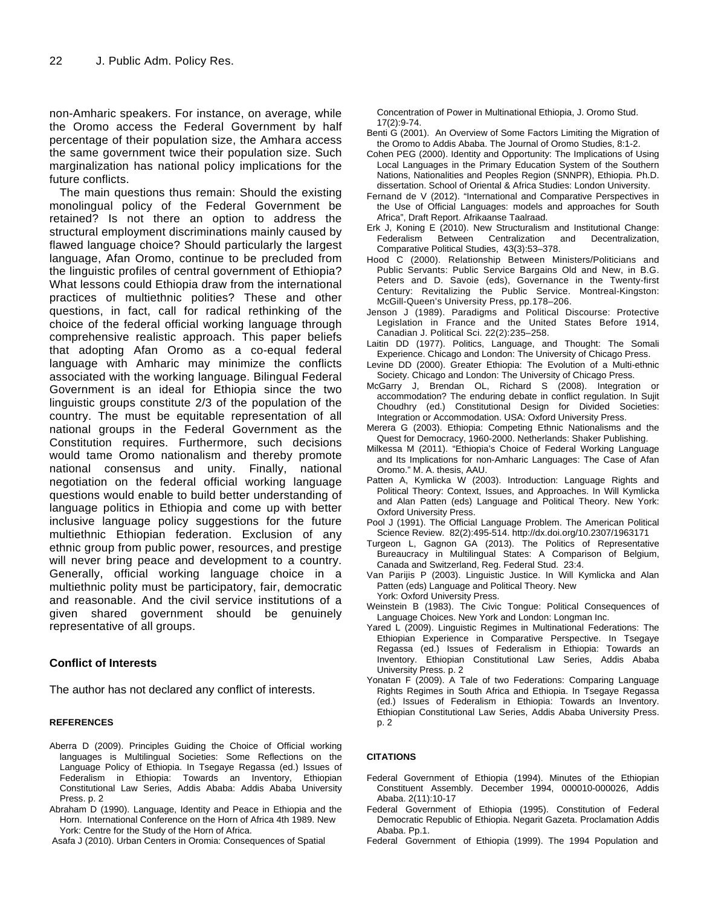non-Amharic speakers. For instance, on average, while the Oromo access the Federal Government by half percentage of their population size, the Amhara access the same government twice their population size. Such marginalization has national policy implications for the future conflicts.

The main questions thus remain: Should the existing monolingual policy of the Federal Government be retained? Is not there an option to address the structural employment discriminations mainly caused by flawed language choice? Should particularly the largest language, Afan Oromo, continue to be precluded from the linguistic profiles of central government of Ethiopia? What lessons could Ethiopia draw from the international practices of multiethnic polities? These and other questions, in fact, call for radical rethinking of the choice of the federal official working language through comprehensive realistic approach. This paper beliefs that adopting Afan Oromo as a co-equal federal language with Amharic may minimize the conflicts associated with the working language. Bilingual Federal Government is an ideal for Ethiopia since the two linguistic groups constitute 2/3 of the population of the country. The must be equitable representation of all national groups in the Federal Government as the Constitution requires. Furthermore, such decisions would tame Oromo nationalism and thereby promote national consensus and unity. Finally, national negotiation on the federal official working language questions would enable to build better understanding of language politics in Ethiopia and come up with better inclusive language policy suggestions for the future multiethnic Ethiopian federation. Exclusion of any ethnic group from public power, resources, and prestige will never bring peace and development to a country. Generally, official working language choice in a multiethnic polity must be participatory, fair, democratic and reasonable. And the civil service institutions of a given shared government should be genuinely representative of all groups.

#### **Conflict of Interests**

The author has not declared any conflict of interests.

#### **REFERENCES**

- Aberra D (2009). Principles Guiding the Choice of Official working languages is Multilingual Societies: Some Reflections on the Language Policy of Ethiopia. In Tsegaye Regassa (ed.) Issues of Federalism in Ethiopia: Towards an Inventory, Ethiopian Constitutional Law Series, Addis Ababa: Addis Ababa University Press. p. 2
- Abraham D (1990). Language, Identity and Peace in Ethiopia and the Horn. International Conference on the Horn of Africa 4th 1989. New York: Centre for the Study of the Horn of Africa.

Asafa J (2010). Urban Centers in Oromia: Consequences of Spatial

Concentration of Power in Multinational Ethiopia, J. Oromo Stud. 17(2):9-74.

- Benti G (2001). An Overview of Some Factors Limiting the Migration of the Oromo to Addis Ababa. The Journal of Oromo Studies, 8:1-2.
- Cohen PEG (2000). Identity and Opportunity: The Implications of Using Local Languages in the Primary Education System of the Southern Nations, Nationalities and Peoples Region (SNNPR), Ethiopia. Ph.D. dissertation. School of Oriental & Africa Studies: London University.
- Fernand de V (2012). "International and Comparative Perspectives in the Use of Official Languages: models and approaches for South Africa", Draft Report. Afrikaanse Taalraad.
- Erk J, Koning E (2010). New Structuralism and Institutional Change: Federalism Between Centralization and Decentralization, Comparative Political Studies, 43(3):53–378.
- Hood C (2000). Relationship Between Ministers/Politicians and Public Servants: Public Service Bargains Old and New, in B.G. Peters and D. Savoie (eds), Governance in the Twenty-first Century: Revitalizing the Public Service. Montreal-Kingston: McGill-Queen's University Press, pp.178–206.
- Jenson J (1989). Paradigms and Political Discourse: Protective Legislation in France and the United States Before 1914, Canadian J. Political Sci. 22(2):235–258.
- Laitin DD (1977). Politics, Language, and Thought: The Somali Experience. Chicago and London: The University of Chicago Press.
- Levine DD (2000). Greater Ethiopia: The Evolution of a Multi-ethnic Society. Chicago and London: The University of Chicago Press.
- McGarry J, Brendan OL, Richard S (2008). Integration or accommodation? The enduring debate in conflict regulation. In Sujit Choudhry (ed.) Constitutional Design for Divided Societies: Integration or Accommodation. USA: Oxford University Press.
- Merera G (2003). Ethiopia: Competing Ethnic Nationalisms and the Quest for Democracy, 1960-2000. Netherlands: Shaker Publishing.
- Milkessa M (2011). "Ethiopia's Choice of Federal Working Language and Its Implications for non-Amharic Languages: The Case of Afan Oromo." M. A. thesis, AAU.
- Patten A, Kymlicka W (2003). Introduction: Language Rights and Political Theory: Context, Issues, and Approaches. In Will Kymlicka and Alan Patten (eds) Language and Political Theory. New York: Oxford University Press.
- Pool J (1991). The Official Language Problem. The American Political Science Review. 82(2):495-514. http://dx.doi.org/10.2307/1963171
- Turgeon L, Gagnon GA (2013). The Politics of Representative Bureaucracy in Multilingual States: A Comparison of Belgium, Canada and Switzerland, Reg. Federal Stud. 23:4.
- Van Parijis P (2003). Linguistic Justice. In Will Kymlicka and Alan Patten (eds) Language and Political Theory. New York: Oxford University Press.
- Weinstein B (1983). The Civic Tongue: Political Consequences of Language Choices. New York and London: Longman Inc.
- Yared L (2009). Linguistic Regimes in Multinational Federations: The Ethiopian Experience in Comparative Perspective. In Tsegaye Regassa (ed.) Issues of Federalism in Ethiopia: Towards an Inventory. Ethiopian Constitutional Law Series, Addis Ababa University Press. p. 2
- Yonatan F (2009). A Tale of two Federations: Comparing Language Rights Regimes in South Africa and Ethiopia. In Tsegaye Regassa (ed.) Issues of Federalism in Ethiopia: Towards an Inventory. Ethiopian Constitutional Law Series, Addis Ababa University Press. p. 2

#### **CITATIONS**

- Federal Government of Ethiopia (1994). Minutes of the Ethiopian Constituent Assembly. December 1994, 000010-000026, Addis Ababa. 2(11):10-17
- Federal Government of Ethiopia (1995). Constitution of Federal Democratic Republic of Ethiopia. Negarit Gazeta. Proclamation Addis Ababa. Pp.1.
- Federal Government of Ethiopia (1999). The 1994 Population and